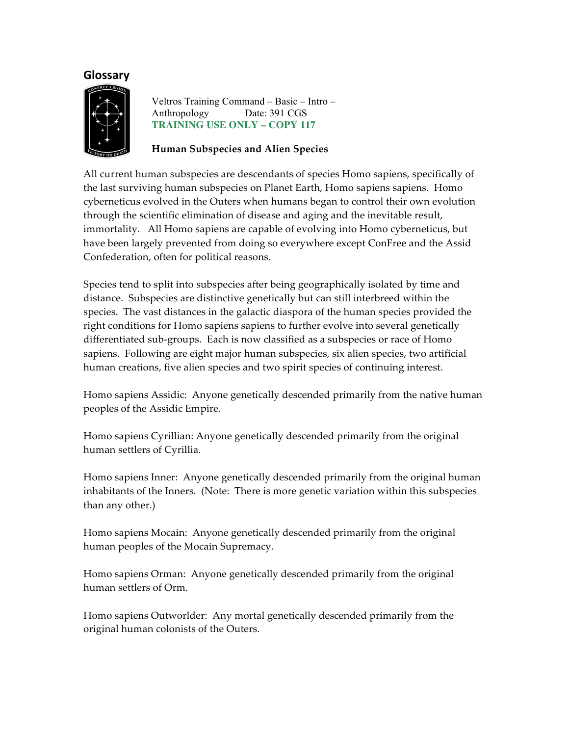# **Glossary**



 Veltros Training Command – Basic – Intro – Anthropology Date: 391 CGS  **TRAINING USE ONLY – COPY 117** 

### **Human Subspecies and Alien Species**

All current human subspecies are descendants of species Homo sapiens, specifically of the last surviving human subspecies on Planet Earth, Homo sapiens sapiens. Homo cyberneticus evolved in the Outers when humans began to control their own evolution through the scientific elimination of disease and aging and the inevitable result, immortality. All Homo sapiens are capable of evolving into Homo cyberneticus, but have been largely prevented from doing so everywhere except ConFree and the Assid Confederation, often for political reasons.

Species tend to split into subspecies after being geographically isolated by time and distance. Subspecies are distinctive genetically but can still interbreed within the species. The vast distances in the galactic diaspora of the human species provided the right conditions for Homo sapiens sapiens to further evolve into several genetically differentiated sub-groups. Each is now classified as a subspecies or race of Homo sapiens. Following are eight major human subspecies, six alien species, two artificial human creations, five alien species and two spirit species of continuing interest.

Homo sapiens Assidic: Anyone genetically descended primarily from the native human peoples of the Assidic Empire.

Homo sapiens Cyrillian: Anyone genetically descended primarily from the original human settlers of Cyrillia.

Homo sapiens Inner: Anyone genetically descended primarily from the original human inhabitants of the Inners. (Note: There is more genetic variation within this subspecies than any other.)

Homo sapiens Mocain: Anyone genetically descended primarily from the original human peoples of the Mocain Supremacy.

Homo sapiens Orman: Anyone genetically descended primarily from the original human settlers of Orm.

Homo sapiens Outworlder: Any mortal genetically descended primarily from the original human colonists of the Outers.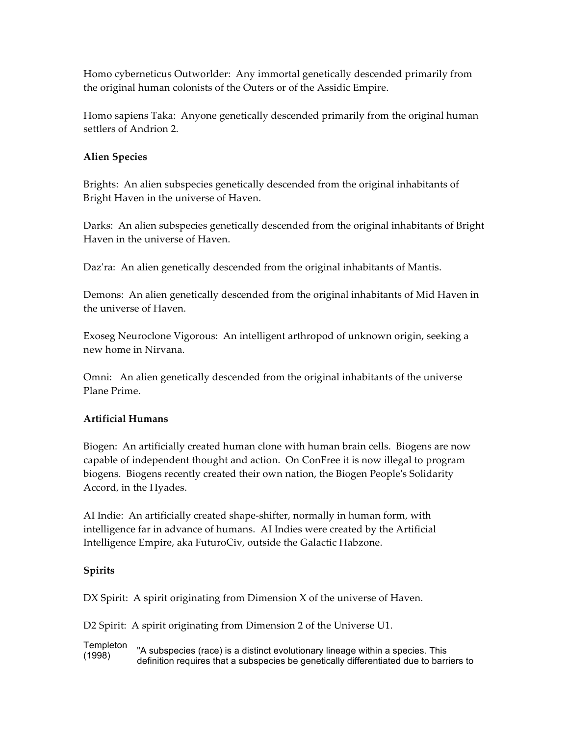Homo cyberneticus Outworlder: Any immortal genetically descended primarily from the original human colonists of the Outers or of the Assidic Empire.

Homo sapiens Taka: Anyone genetically descended primarily from the original human settlers of Andrion 2.

## **Alien Species**

Brights: An alien subspecies genetically descended from the original inhabitants of Bright Haven in the universe of Haven.

Darks: An alien subspecies genetically descended from the original inhabitants of Bright Haven in the universe of Haven.

Daz'ra: An alien genetically descended from the original inhabitants of Mantis.

Demons: An alien genetically descended from the original inhabitants of Mid Haven in the universe of Haven.

Exoseg Neuroclone Vigorous: An intelligent arthropod of unknown origin, seeking a new home in Nirvana.

Omni: An alien genetically descended from the original inhabitants of the universe Plane Prime.

# **Artificial Humans**

Biogen: An artificially created human clone with human brain cells. Biogens are now capable of independent thought and action. On ConFree it is now illegal to program biogens. Biogens recently created their own nation, the Biogen People's Solidarity Accord, in the Hyades.

AI Indie: An artificially created shape-shifter, normally in human form, with intelligence far in advance of humans. AI Indies were created by the Artificial Intelligence Empire, aka FuturoCiv, outside the Galactic Habzone.

### **Spirits**

DX Spirit: A spirit originating from Dimension X of the universe of Haven.

D2 Spirit: A spirit originating from Dimension 2 of the Universe U1.

**Templeton** (1998) "A subspecies (race) is a distinct evolutionary lineage within a species. This definition requires that a subspecies be genetically differentiated due to barriers to